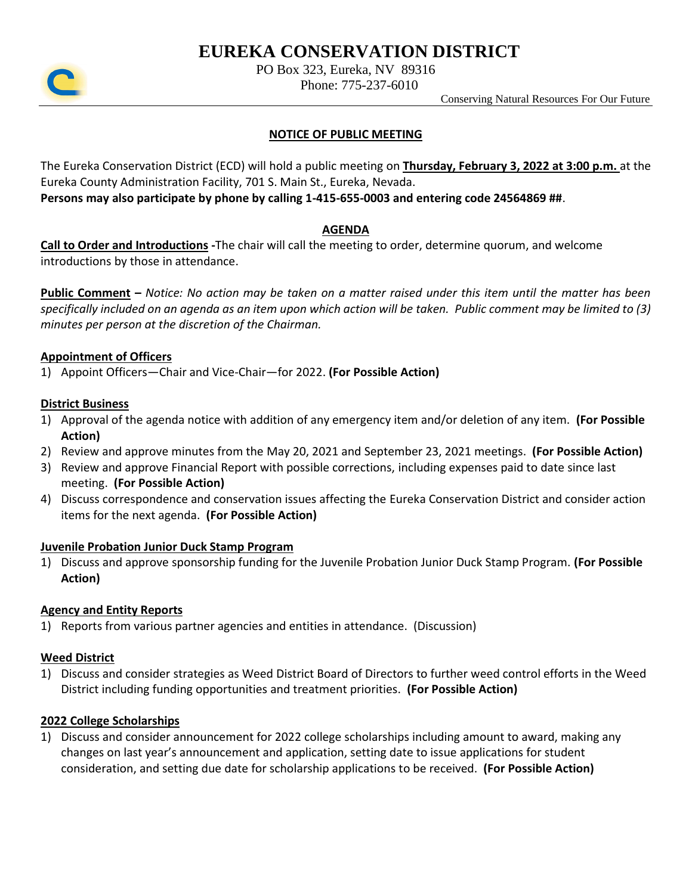# **EUREKA CONSERVATION DISTRICT**



PO Box 323, Eureka, NV 89316

Phone: 775-237-6010

Conserving Natural Resources For Our Future

## **NOTICE OF PUBLIC MEETING**

The Eureka Conservation District (ECD) will hold a public meeting on **Thursday, February 3, 2022 at 3:00 p.m.** at the Eureka County Administration Facility, 701 S. Main St., Eureka, Nevada.

**Persons may also participate by phone by calling 1-415-655-0003 and entering code 24564869 ##**.

## **AGENDA**

**Call to Order and Introductions -**The chair will call the meeting to order, determine quorum, and welcome introductions by those in attendance.

**Public Comment –** *Notice: No action may be taken on a matter raised under this item until the matter has been specifically included on an agenda as an item upon which action will be taken. Public comment may be limited to (3) minutes per person at the discretion of the Chairman.*

## **Appointment of Officers**

1) Appoint Officers—Chair and Vice-Chair—for 2022. **(For Possible Action)**

## **District Business**

- 1) Approval of the agenda notice with addition of any emergency item and/or deletion of any item. **(For Possible Action)**
- 2) Review and approve minutes from the May 20, 2021 and September 23, 2021 meetings. **(For Possible Action)**
- 3) Review and approve Financial Report with possible corrections, including expenses paid to date since last meeting. **(For Possible Action)**
- 4) Discuss correspondence and conservation issues affecting the Eureka Conservation District and consider action items for the next agenda. **(For Possible Action)**

## **Juvenile Probation Junior Duck Stamp Program**

1) Discuss and approve sponsorship funding for the Juvenile Probation Junior Duck Stamp Program. **(For Possible Action)**

## **Agency and Entity Reports**

1) Reports from various partner agencies and entities in attendance. (Discussion)

## **Weed District**

1) Discuss and consider strategies as Weed District Board of Directors to further weed control efforts in the Weed District including funding opportunities and treatment priorities. **(For Possible Action)**

## **2022 College Scholarships**

1) Discuss and consider announcement for 2022 college scholarships including amount to award, making any changes on last year's announcement and application, setting date to issue applications for student consideration, and setting due date for scholarship applications to be received. **(For Possible Action)**